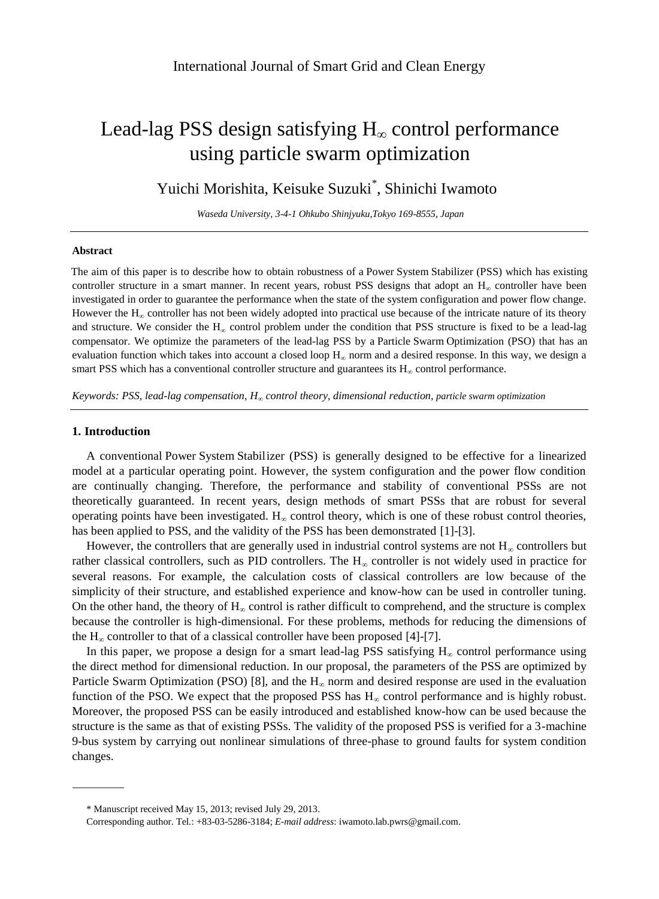# Lead-lag PSS design satisfying  $H_{\infty}$  control performance using particle swarm optimization

Yuichi Morishita, Keisuke Suzuki<sup>\*</sup>, Shinichi Iwamoto

*Waseda University, 3-4-1 Ohkubo Shinjyuku,Tokyo 169-8555, Japan*

# **Abstract**

The aim of this paper is to describe how to obtain robustness of a Power System Stabilizer (PSS) which has existing controller structure in a smart manner. In recent years, robust PSS designs that adopt an  $H_{\infty}$  controller have been investigated in order to guarantee the performance when the state of the system configuration and power flow change. However the H<sub>∞</sub> controller has not been widely adopted into practical use because of the intricate nature of its theory and structure. We consider the H<sub>∞</sub> control problem under the condition that PSS structure is fixed to be a lead-lag compensator. We optimize the parameters of the lead-lag PSS by a Particle Swarm Optimization (PSO) that has an evaluation function which takes into account a closed loop  $H_{\infty}$  norm and a desired response. In this way, we design a smart PSS which has a conventional controller structure and guarantees its  $H_{\infty}$  control performance.

*Keywords: PSS, lead-lag compensation, H<sup>∞</sup> control theory, dimensional reduction, particle swarm optimization*

# **1. Introduction**

A conventional Power System Stabilizer (PSS) is generally designed to be effective for a linearized model at a particular operating point. However, the system configuration and the power flow condition are continually changing. Therefore, the performance and stability of conventional PSSs are not theoretically guaranteed. In recent years, design methods of smart PSSs that are robust for several operating points have been investigated.  $H_{\infty}$  control theory, which is one of these robust control theories, has been applied to PSS, and the validity of the PSS has been demonstrated [1]-[3].

However, the controllers that are generally used in industrial control systems are not  $H_{\infty}$  controllers but rather classical controllers, such as PID controllers. The  $H_{\infty}$  controller is not widely used in practice for several reasons. For example, the calculation costs of classical controllers are low because of the simplicity of their structure, and established experience and know-how can be used in controller tuning. On the other hand, the theory of  $H_{\infty}$  control is rather difficult to comprehend, and the structure is complex because the controller is high-dimensional. For these problems, methods for reducing the dimensions of the  $H_{\infty}$  controller to that of a classical controller have been proposed [4]-[7].

In this paper, we propose a design for a smart lead-lag PSS satisfying  $H_{\infty}$  control performance using the direct method for dimensional reduction. In our proposal, the parameters of the PSS are optimized by Particle Swarm Optimization (PSO) [8], and the  $H_{\infty}$  norm and desired response are used in the evaluation function of the PSO. We expect that the proposed PSS has  $H_{\infty}$  control performance and is highly robust. Moreover, the proposed PSS can be easily introduced and established know-how can be used because the structure is the same as that of existing PSSs. The validity of the proposed PSS is verified for a 3-machine 9-bus system by carrying out nonlinear simulations of three-phase to ground faults for system condition changes.

<sup>\*</sup> Manuscript received May 15, 2013; revised July 29, 2013.

Corresponding author. Tel.: +83-03-5286-3184; *E-mail address*: iwamoto.lab.pwrs@gmail.com.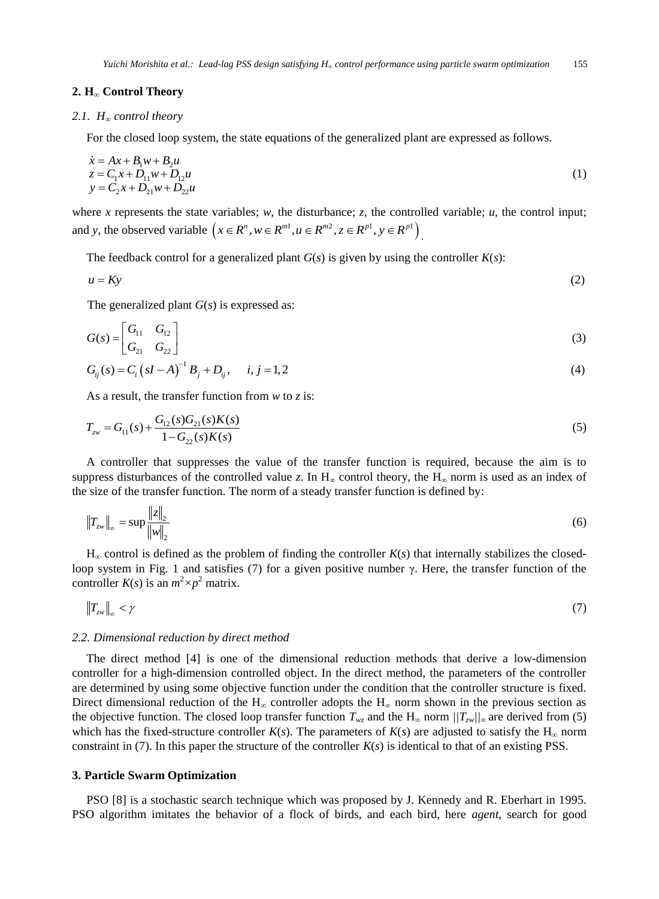## **2. H<sup>∞</sup> Control Theory**

# *2.1. H<sup>∞</sup> control theory*

For the closed loop system, the state equations of the generalized plant are expressed as follows.

$$
\begin{aligned}\n\dot{x} &= Ax + B_1 w + B_2 u \\
z &= C_1 x + D_{11} w + D_{12} u \\
y &= C_2 x + D_{21} w + D_{22} u\n\end{aligned} (1)
$$

where *x* represents the state variables;  $w$ , the disturbance; *z*, the controlled variable;  $u$ , the control input; and *y*, the observed variable  $(x \in R^n, w \in R^{m!}, u \in R^{m^2}, z \in R^{p^1}, y \in R^{p^1}$ .

The feedback control for a generalized plant  $G(s)$  is given by using the controller  $K(s)$ :

$$
u = Ky \tag{2}
$$

The generalized plant *G*(*s*) is expressed as:

$$
G(s) = \begin{bmatrix} G_{11} & G_{12} \\ G_{21} & G_{22} \end{bmatrix} \tag{3}
$$

$$
G_{ij}(s) = C_i (sI - A)^{-1} B_j + D_{ij}, \quad i, j = 1, 2
$$
\n(4)

As a result, the transfer function from *w* to *z* is:

$$
T_{zw} = G_{11}(s) + \frac{G_{12}(s)G_{21}(s)K(s)}{1 - G_{22}(s)K(s)}
$$
\n(5)

A controller that suppresses the value of the transfer function is required, because the aim is to suppress disturbances of the controlled value *z*. In  $H_{\infty}$  control theory, the  $H_{\infty}$  norm is used as an index of the size of the transfer function. The norm of a steady transfer function is defined by:

$$
\|T_{zw}\|_{\infty} = \sup \frac{\|z\|_2}{\|w\|_2} \tag{6}
$$

 $H_{\infty}$  control is defined as the problem of finding the controller  $K(s)$  that internally stabilizes the closedloop system in Fig. 1 and satisfies (7) for a given positive number γ. Here, the transfer function of the controller  $K(s)$  is an  $m^2 \times p^2$  matrix.

$$
\|T_{\rm zw}\|_{\infty} < \gamma \tag{7}
$$

#### *2.2. Dimensional reduction by direct method*

The direct method [4] is one of the dimensional reduction methods that derive a low-dimension controller for a high-dimension controlled object. In the direct method, the parameters of the controller are determined by using some objective function under the condition that the controller structure is fixed. Direct dimensional reduction of the H<sub>∞</sub> controller adopts the H<sub>∞</sub> norm shown in the previous section as the objective function. The closed loop transfer function  $T_{wz}$  and the  $H_{\infty}$  norm  $/|T_{zw}|/\sim \infty$  are derived from (5) which has the fixed-structure controller  $K(s)$ . The parameters of  $K(s)$  are adjusted to satisfy the H<sub>∞</sub> norm constraint in (7). In this paper the structure of the controller *K*(*s*) is identical to that of an existing PSS.

# **3. Particle Swarm Optimization**

PSO [8] is a stochastic search technique which was proposed by J. Kennedy and R. Eberhart in 1995. PSO algorithm imitates the behavior of a flock of birds, and each bird, here *agent*, search for good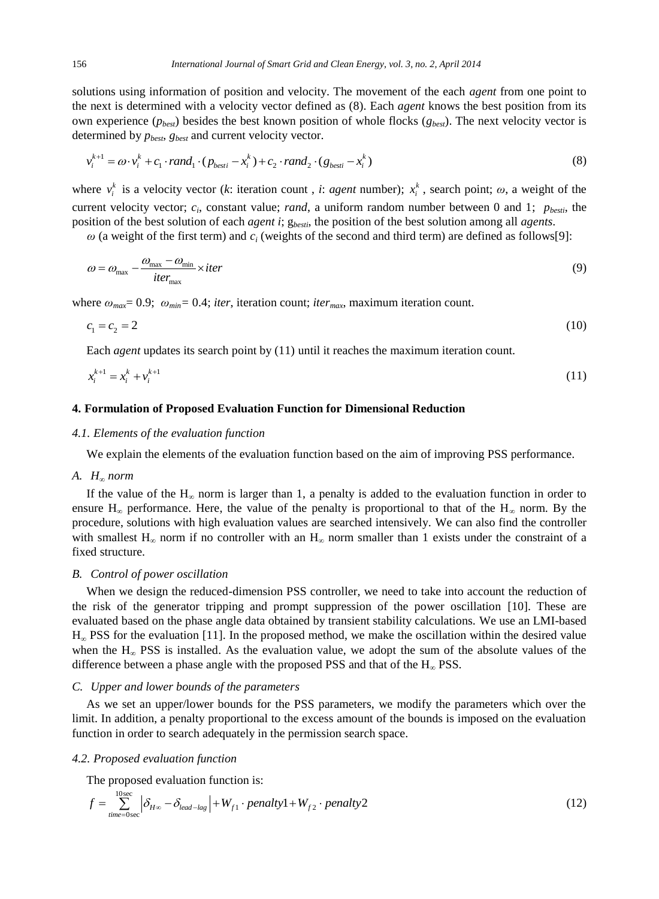solutions using information of position and velocity. The movement of the each *agent* from one point to the next is determined with a velocity vector defined as (8). Each *agent* knows the best position from its own experience (*pbest*) besides the best known position of whole flocks (*gbest*). The next velocity vector is determined by *pbest*, *gbest* and current velocity vector.

$$
v_i^{k+1} = \omega \cdot v_i^k + c_1 \cdot rand_1 \cdot (p_{best} - x_i^k) + c_2 \cdot rand_2 \cdot (g_{best} - x_i^k)
$$
\n
$$
(8)
$$

where  $v_i^k$  is a velocity vector (*k*: iteration count, *i*: *agent* number);  $x_i^k$ , search point;  $\omega$ , a weight of the current velocity vector;  $c_i$ , constant value; *rand*, a uniform random number between 0 and 1;  $p_{besti}$ , the position of the best solution of each *agent i*; g*besti*, the position of the best solution among all *agents*.

 $\omega$  (a weight of the first term) and  $c_i$  (weights of the second and third term) are defined as follows[9]:

$$
\omega = \omega_{\text{max}} - \frac{\omega_{\text{max}} - \omega_{\text{min}}}{iter_{\text{max}}} \times iter \tag{9}
$$

where  $\omega_{max} = 0.9$ ;  $\omega_{min} = 0.4$ ; *iter*, iteration count; *iter<sub>max</sub>*, maximum iteration count.

$$
c_1 = c_2 = 2 \tag{10}
$$

Each *agent* updates its search point by (11) until it reaches the maximum iteration count.

$$
x_i^{k+1} = x_i^k + v_i^{k+1} \tag{11}
$$

# **4. Formulation of Proposed Evaluation Function for Dimensional Reduction**

### *4.1. Elements of the evaluation function*

We explain the elements of the evaluation function based on the aim of improving PSS performance.

## *A. H<sup>∞</sup> norm*

If the value of the  $H_{\infty}$  norm is larger than 1, a penalty is added to the evaluation function in order to ensure H<sub>∞</sub> performance. Here, the value of the penalty is proportional to that of the H<sub>∞</sub> norm. By the procedure, solutions with high evaluation values are searched intensively. We can also find the controller with smallest H<sub>∞</sub> norm if no controller with an H<sub>∞</sub> norm smaller than 1 exists under the constraint of a fixed structure.

## *B. Control of power oscillation*

When we design the reduced-dimension PSS controller, we need to take into account the reduction of the risk of the generator tripping and prompt suppression of the power oscillation [10]. These are evaluated based on the phase angle data obtained by transient stability calculations. We use an LMI-based  $H_{\infty}$  PSS for the evaluation [11]. In the proposed method, we make the oscillation within the desired value when the  $H_{\infty}$  PSS is installed. As the evaluation value, we adopt the sum of the absolute values of the difference between a phase angle with the proposed PSS and that of the  $H_{\infty}$  PSS.

# *C. Upper and lower bounds of the parameters*

As we set an upper/lower bounds for the PSS parameters, we modify the parameters which over the limit. In addition, a penalty proportional to the excess amount of the bounds is imposed on the evaluation function in order to search adequately in the permission search space.

#### *4.2. Proposed evaluation function*

The proposed evaluation function is:

$$
f = \sum_{\text{time}=0 \text{sec}}^{10 \text{sec}} \left| \delta_{H^{\infty}} - \delta_{\text{lead-lag}} \right| + W_{f1} \cdot \text{penalty1} + W_{f2} \cdot \text{penalty2}
$$
 (12)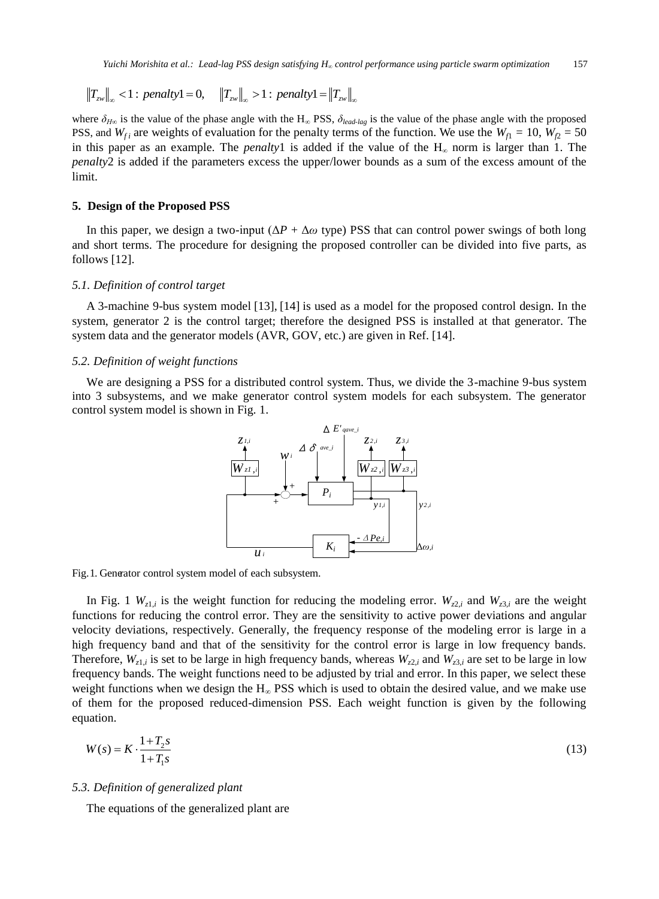$$
||T_{zw}||_{\infty} < 1
$$
: penalty1 = 0,  $||T_{zw}||_{\infty} > 1$ : penalty1 =  $||T_{zw}||_{\infty}$ 

where  $\delta_{H\omega}$  is the value of the phase angle with the H<sub>∞</sub> PSS,  $\delta_{lead-las}$  is the value of the phase angle with the proposed PSS, and  $W_{fi}$  are weights of evaluation for the penalty terms of the function. We use the  $W_{fi} = 10$ ,  $W_{f2} = 50$ in this paper as an example. The *penalty*1 is added if the value of the  $H<sub>\infty</sub>$  norm is larger than 1. The *penalty*2 is added if the parameters excess the upper/lower bounds as a sum of the excess amount of the limit.

#### **5. Design of the Proposed PSS**

In this paper, we design a two-input  $(\Delta P + \Delta \omega$  type) PSS that can control power swings of both long and short terms. The procedure for designing the proposed controller can be divided into five parts, as follows [12].

## *5.1. Definition of control target*

A 3-machine 9-bus system model [13], [14] is used as a model for the proposed control design. In the system, generator 2 is the control target; therefore the designed PSS is installed at that generator. The system data and the generator models (AVR, GOV, etc.) are given in Ref. [14].

#### *5.2. Definition of weight functions*

We are designing a PSS for a distributed control system. Thus, we divide the 3-machine 9-bus system into 3 subsystems, and we make generator control system models for each subsystem. The generator control system model is shown in Fig. 1.



Fig. 1. Generator control system model of each subsystem.

In Fig. 1  $W_{z1,i}$  is the weight function for reducing the modeling error.  $W_{z2,i}$  and  $W_{z3,i}$  are the weight functions for reducing the control error. They are the sensitivity to active power deviations and angular velocity deviations, respectively. Generally, the frequency response of the modeling error is large in a high frequency band and that of the sensitivity for the control error is large in low frequency bands. Therefore,  $W_{z1,i}$  is set to be large in high frequency bands, whereas  $W_{z2,i}$  and  $W_{z3,i}$  are set to be large in low frequency bands. The weight functions need to be adjusted by trial and error. In this paper, we select these weight functions when we design the  $H_{\infty}$  PSS which is used to obtain the desired value, and we make use of them for the proposed reduced-dimension PSS. Each weight function is given by the following equation.

$$
W(s) = K \cdot \frac{1 + T_2 s}{1 + T_1 s} \tag{13}
$$

## *5.3. Definition of generalized plant*

The equations of the generalized plant are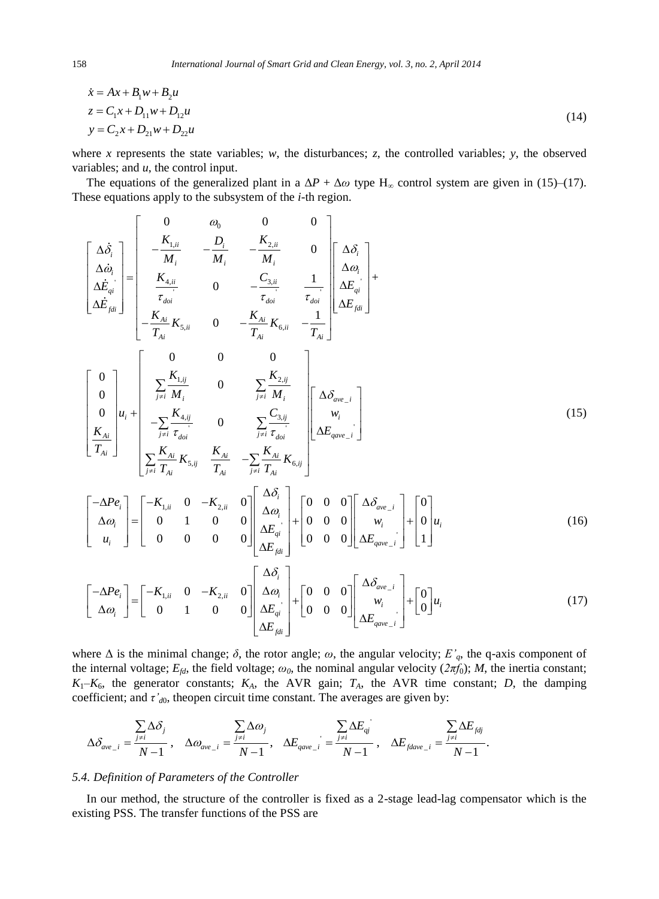$$
\begin{aligned} \n\dot{x} &= Ax + B_1 w + B_2 u \\ \nz &= C_1 x + D_{11} w + D_{12} u \\ \ny &= C_2 x + D_{21} w + D_{22} u \tag{14} \n\end{aligned}
$$

where *x* represents the state variables; *w*, the disturbances; *z*, the controlled variables; *y*, the observed variables; and *u*, the control input.

The equations of the generalized plant in a  $\Delta P + \Delta \omega$  type H<sub>∞</sub> control system are given in (15)–(17). These equations apply to the subsystem of the *i*-th region.

$$
\begin{bmatrix}\n\Delta \dot{\delta}_{i} \\
\Delta \dot{\omega}_{i} \\
\Delta \dot{E}_{qi} \\
\Delta \dot{E}_{jii}\n\end{bmatrix} = \begin{bmatrix}\n0 & \omega_{0} & 0 & 0 \\
-\frac{K_{1,ii}}{M_{i}} & -\frac{D_{i}}{M_{i}} & -\frac{K_{2,i}}{M_{i}} & 0 \\
\frac{K_{4,i}}{T_{doi}} & 0 & -\frac{C_{3,i}}{T_{doi}} & \frac{1}{T_{doi}} \left[\Delta \delta_{i} \\
\Delta E_{jii}\right] \\
-\frac{K_{Ai}}{T_{Ai}} K_{5,ii} & 0 & -\frac{K_{Ai}}{T_{Ai}} K_{6,i} & -\frac{1}{T_{Ai}}\left[\Delta E_{jii}\right]\n\end{bmatrix}
$$
\n
$$
\begin{bmatrix}\n0 & 0 & 0 & 0 \\
0 & 0 & -\frac{K_{Ai}}{T_{Ai}} & \frac{1}{T_{doi}}\left[\Delta E_{jiii}\right]\n\end{bmatrix} \begin{bmatrix}\n0 & 0 & 0 & 0 \\
\frac{\sum_{j\neq i} K_{1,jj}}{M_{i}} & 0 & \sum_{j\neq i} \frac{K_{2,jj}}{M_{i}} \\
-\sum_{j\neq i} \frac{K_{4,ij}}{T_{di}} & 0 & \sum_{j\neq i} \frac{C_{3,jj}}{T_{doi}} & \frac{W_{i}}{T_{doi}}\left[\Delta E_{qave\_i}\right]\n\end{bmatrix}
$$
\n
$$
\begin{bmatrix}\n-\Delta P e_{i} \\
\Delta \omega_{i} \\
\Delta \omega_{i}\n\end{bmatrix} = \begin{bmatrix}\n-K_{1,i} & 0 & -K_{2,i} & 0 \\
0 & 1 & 0 & 0 \\
0 & 0 & 0 & 0\n\end{bmatrix} \begin{bmatrix}\n\Delta \delta_{i} \\
\Delta \omega_{i} \\
\Delta E_{j} \\
\Delta E_{jii}\n\end{bmatrix} + \begin{bmatrix}\n0 & 0 & 0 \\
0 & 0 & 0 \\
0 & 0 & 0\n\end{bmatrix} \begin{bmatrix}\n\Delta \delta_{ave\_i} \\
\Delta E_{ave\_i}\n\end{bmatrix} + \begin{bmatrix}\n0 \\
0 \\
1\n\end{bmatrix} u_{i}
$$
\n(16)

$$
\begin{bmatrix} -\Delta Pe_i \\ \Delta \omega_i \end{bmatrix} = \begin{bmatrix} -K_{1,ii} & 0 & -K_{2,ii} & 0 \\ 0 & 1 & 0 & 0 \end{bmatrix} \begin{bmatrix} \Delta \omega_i \\ \Delta E_{qi} \\ \Delta E_{fdi} \end{bmatrix} + \begin{bmatrix} 0 & 0 & 0 \\ 0 & 0 & 0 \end{bmatrix} \begin{bmatrix} \Delta \partial_{ave-i} \\ w_i \\ \Delta E_{gave-i} \end{bmatrix} + \begin{bmatrix} 0 \\ 0 \end{bmatrix} u_i
$$
 (17)

where Δ is the minimal change; *δ*, the rotor angle; *ω*, the angular velocity; *E'q*, the q-axis component of the internal voltage;  $E_{fd}$ , the field voltage;  $\omega_0$ , the nominal angular velocity  $(2\pi f_0)$ ; *M*, the inertia constant;  $K_1 - K_6$ , the generator constants;  $K_A$ , the AVR gain;  $T_A$ , the AVR time constant; *D*, the damping coefficient; and  $\tau'_{d0}$ , theopen circuit time constant. The averages are given by:

$$
\Delta \delta_{\textit{\tiny ave\_i}} = \frac{\sum\limits_{j\neq i}\Delta \delta_j}{N-1}\,,\quad \Delta \omega_{\textit{\tiny ave\_i}} = \frac{\sum\limits_{j\neq i}\Delta \omega_j}{N-1}\,,\quad \Delta E_{\textit{\tiny gave\_i}} = \frac{\sum\limits_{j\neq i}\Delta E_{\textit{\tiny qj}}}{N-1}\,,\quad \Delta E_{\textit{false\_i}} = \frac{\sum\limits_{j\neq i}\Delta E_{\textit{fdj}}}{N-1}\,.
$$

## *5.4. Definition of Parameters of the Controller*

In our method, the structure of the controller is fixed as a 2-stage lead-lag compensator which is the existing PSS. The transfer functions of the PSS are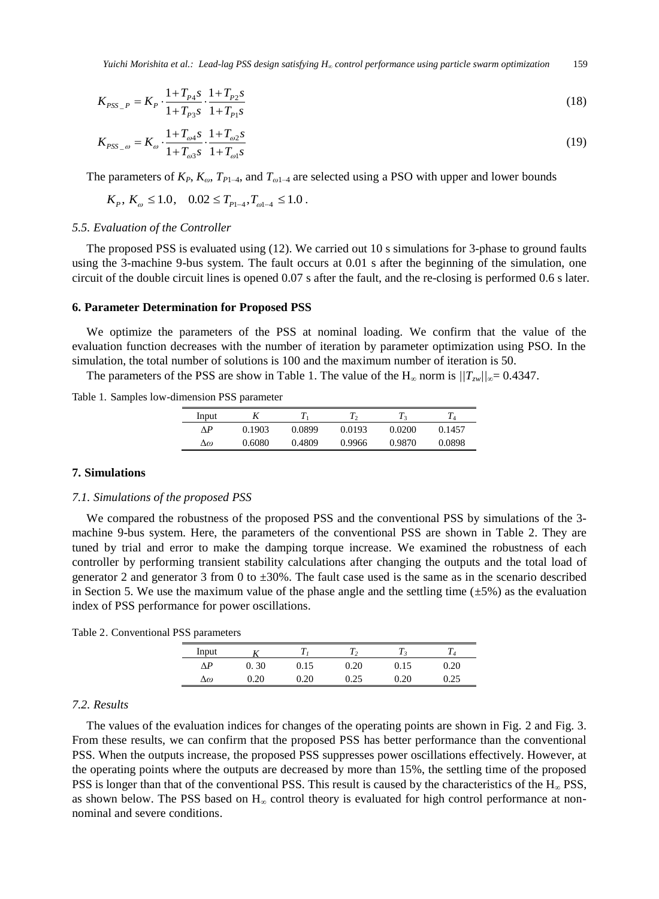*Yuichi Morishita et al.: Lead-lag PSS design satisfying H<sup>∞</sup> control performance using particle swarm optimization* 159

$$
K_{PSS_{-}P} = K_P \cdot \frac{1 + T_{P4}S}{1 + T_{P3}S} \cdot \frac{1 + T_{P2}S}{1 + T_{P1}S}
$$
\n<sup>(18)</sup>

$$
K_{PSS_{-\omega}} = K_{\omega} \cdot \frac{1 + T_{\omega 4} s}{1 + T_{\omega 3} s} \cdot \frac{1 + T_{\omega 2} s}{1 + T_{\omega 1} s} \tag{19}
$$

The parameters of  $K_P$ ,  $K_{\omega}$ ,  $T_{P1-4}$ , and  $T_{\omega 1-4}$  are selected using a PSO with upper and lower bounds

$$
K_p
$$
,  $K_{\omega} \le 1.0$ ,  $0.02 \le T_{p_{1-4}}, T_{\omega_{1-4}} \le 1.0$ .

## *5.5. Evaluation of the Controller*

The proposed PSS is evaluated using (12). We carried out 10 s simulations for 3-phase to ground faults using the 3-machine 9-bus system. The fault occurs at 0.01 s after the beginning of the simulation, one circuit of the double circuit lines is opened 0.07 s after the fault, and the re-closing is performed 0.6 s later.

## **6. Parameter Determination for Proposed PSS**

We optimize the parameters of the PSS at nominal loading. We confirm that the value of the evaluation function decreases with the number of iteration by parameter optimization using PSO. In the simulation, the total number of solutions is 100 and the maximum number of iteration is 50.

The parameters of the PSS are show in Table 1. The value of the H<sub>∞</sub> norm is  $/|T_{zw}|/_{\infty} = 0.4347$ .

Table 1. Samples low-dimension PSS parameter

| Input | Λ      |        | T,     | T3     |        |
|-------|--------|--------|--------|--------|--------|
| ΛP    | 0.1903 | 0.0899 | 0.0193 | 0.0200 | 0.1457 |
| Δω    | 0.6080 | 0.4809 | 0.9966 | 0.9870 | 0.0898 |

# **7. Simulations**

# *7.1. Simulations of the proposed PSS*

We compared the robustness of the proposed PSS and the conventional PSS by simulations of the 3 machine 9-bus system. Here, the parameters of the conventional PSS are shown in Table 2. They are tuned by trial and error to make the damping torque increase. We examined the robustness of each controller by performing transient stability calculations after changing the outputs and the total load of generator 2 and generator 3 from 0 to  $\pm 30\%$ . The fault case used is the same as in the scenario described in Section 5. We use the maximum value of the phase angle and the settling time ( $\pm$ 5%) as the evaluation index of PSS performance for power oscillations.

Table 2. Conventional PSS parameters

| Input |      |      |      |      |      |
|-------|------|------|------|------|------|
| ٨P    | 0.30 | 0.15 | 0.20 | 0.15 | 0.20 |
| Δω    | .20  | .20  | 0.25 | .20  |      |

# *7.2. Results*

The values of the evaluation indices for changes of the operating points are shown in Fig. 2 and Fig. 3. From these results, we can confirm that the proposed PSS has better performance than the conventional PSS. When the outputs increase, the proposed PSS suppresses power oscillations effectively. However, at the operating points where the outputs are decreased by more than 15%, the settling time of the proposed PSS is longer than that of the conventional PSS. This result is caused by the characteristics of the  $H_{\infty}$  PSS, as shown below. The PSS based on  $H<sub>∞</sub>$  control theory is evaluated for high control performance at nonnominal and severe conditions.